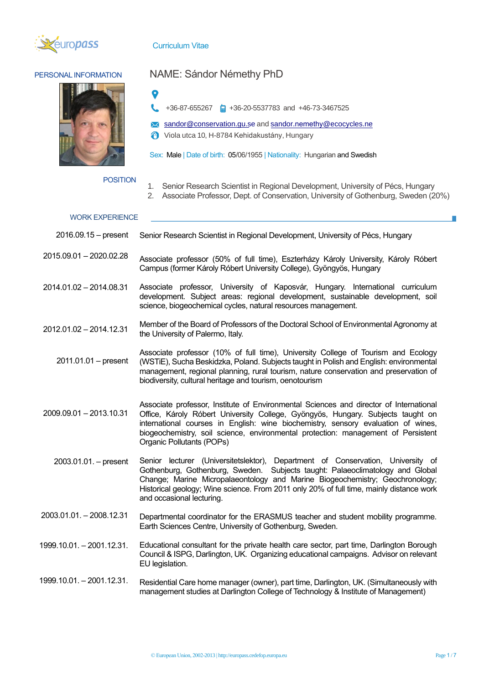

### Curriculum Vitae



# PERSONAL INFORMATION NAME: Sándor Némethy PhD

+36-87-655267 +36-20-5537783 and +46-73-3467525

**X** [sandor@conservation.gu.s](mailto:sandor@conservation.gu.se)e and sandor.nemethy[@ecocycles.ne](mailto:nemethy.sandor@ecocycles.net)

Viola utca 10, H-8784 Kehidakustány, Hungary

Sex: Male | Date of birth: 05/06/1955 | Nationality: Hungarian and Swedish

#### POSITION

- 1. Senior Research Scientist in Regional Development, University of Pécs, Hungary
- 2. Associate Professor, Dept. of Conservation, University of Gothenburg, Sweden (20%)

#### WORK EXPERIENCE

- 2016.09.15 present Senior Research Scientist in Regional Development, University of Pécs, Hungary
- 2015.09.01 2020.02.28 Associate professor (50% of full time), Eszterházy Károly University, Károly Róbert Campus (former Károly Róbert University College), Gyöngyös, Hungary
- 2014.01.02 2014.08.31 Associate professor, University of Kaposvár, Hungary. International curriculum development. Subject areas: regional development, sustainable development, soil science, biogeochemical cycles, natural resources management.

2012.01.02 – 2014.12.31 Member of the Board of Professors of the Doctoral School of Environmental Agronomy at the University of Palermo, Italy.

2011.01.01 – present Associate professor (10% of full time), University College of Tourism and Ecology (WSTiE), Sucha Beskidzka, Poland. Subjects taught in Polish and English: environmental management, regional planning, rural tourism, nature conservation and preservation of biodiversity, cultural heritage and tourism, oenotourism

- 2009.09.01 2013.10.31 Associate professor, Institute of Environmental Sciences and director of International Office, Károly Róbert University College, Gyöngyös, Hungary. Subjects taught on international courses in English: wine biochemistry, sensory evaluation of wines, biogeochemistry, soil science, environmental protection: management of Persistent Organic Pollutants (POPs)
	- 2003.01.01. present Senior lecturer (Universitetslektor), Department of Conservation, University of Gothenburg, Gothenburg, Sweden. Subjects taught: Palaeoclimatology and Global Change; Marine Micropalaeontology and Marine Biogeochemistry; Geochronology; Historical geology; Wine science. From 2011 only 20% of full time, mainly distance work and occasional lecturing.
- 2003.01.01. 2008.12.31 Departmental coordinator for the ERASMUS teacher and student mobility programme. Earth Sciences Centre, University of Gothenburg, Sweden.
- 1999.10.01. 2001.12.31. Educational consultant for the private health care sector, part time, Darlington Borough Council & ISPG, Darlington, UK. Organizing educational campaigns. Advisor on relevant EU legislation.
- 1999.10.01. 2001.12.31. Residential Care home manager (owner), part time, Darlington, UK. (Simultaneously with management studies at Darlington College of Technology & Institute of Management)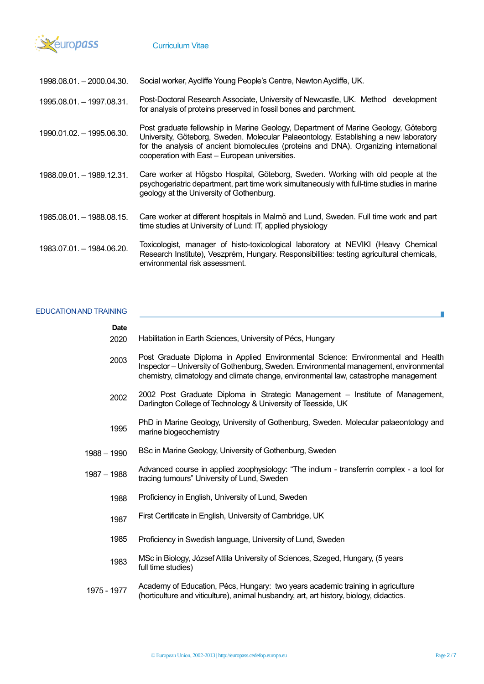

1998.08.01. – 2000.04.30. Social worker, Aycliffe Young People's Centre, Newton Aycliffe, UK.

- 1995.08.01. 1997.08.31. Post-Doctoral Research Associate, University of Newcastle, UK. Method development for analysis of proteins preserved in fossil bones and parchment.
- 1990.01.02. 1995.06.30. Post graduate fellowship in Marine Geology, Department of Marine Geology, Göteborg University, Göteborg, Sweden. Molecular Palaeontology. Establishing a new laboratory for the analysis of ancient biomolecules (proteins and DNA). Organizing international cooperation with East – European universities.
- 1988.09.01. 1989.12.31. Care worker at Högsbo Hospital, Göteborg, Sweden. Working with old people at the psychogeriatric department, part time work simultaneously with full-time studies in marine geology at the University of Gothenburg.
- 1985.08.01. 1988.08.15. Care worker at different hospitals in Malmö and Lund, Sweden. Full time work and part time studies at University of Lund: IT, applied physiology
- 1983.07.01. 1984.06.20. Toxicologist, manager of histo-toxicological laboratory at NEVIKI (Heavy Chemical Research Institute), Veszprém, Hungary. Responsibilities: testing agricultural chemicals, environmental risk assessment.

### EDUCATION AND TRAINING

## **Date** 2020 2003 2002 1995 1988 – 1990 1987 – 1988 1988 1987 1985 1983 Habilitation in Earth Sciences, University of Pécs, Hungary Post Graduate Diploma in Applied Environmental Science: Environmental and Health Inspector – University of Gothenburg, Sweden. Environmental management, environmental chemistry, climatology and climate change, environmental law, catastrophe management 2002 Post Graduate Diploma in Strategic Management – Institute of Management, Darlington College of Technology & University of Teesside, UK PhD in Marine Geology, University of Gothenburg, Sweden. Molecular palaeontology and marine biogeochemistry BSc in Marine Geology, University of Gothenburg, Sweden Advanced course in applied zoophysiology: "The indium - transferrin complex - a tool for tracing tumours" University of Lund, Sweden Proficiency in English, University of Lund, Sweden First Certificate in English, University of Cambridge, UK Proficiency in Swedish language, University of Lund, Sweden MSc in Biology, József Attila University of Sciences, Szeged, Hungary, (5 years full time studies)

1975 - 1977 Academy of Education, Pécs, Hungary: two years academic training in agriculture (horticulture and viticulture), animal husbandry, art, art history, biology, didactics.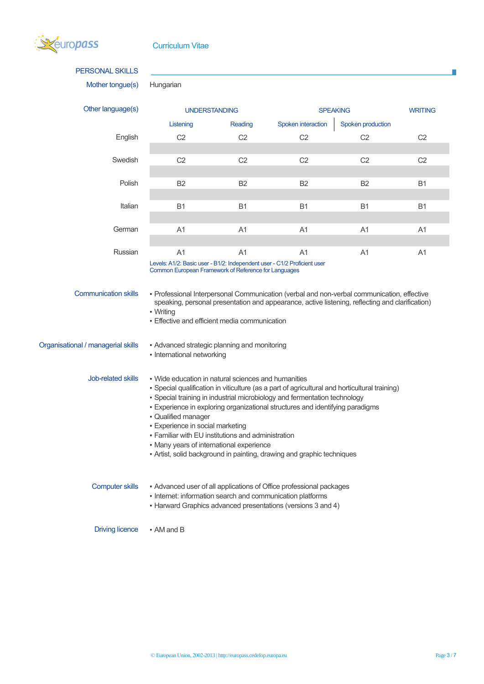

| <b>PERSONAL SKILLS</b>             |                                                                                                                                                                                                                                                                                                                                                                                                                                                                                                                                                                |                |                                                                                                                                                                                               |                   |                |
|------------------------------------|----------------------------------------------------------------------------------------------------------------------------------------------------------------------------------------------------------------------------------------------------------------------------------------------------------------------------------------------------------------------------------------------------------------------------------------------------------------------------------------------------------------------------------------------------------------|----------------|-----------------------------------------------------------------------------------------------------------------------------------------------------------------------------------------------|-------------------|----------------|
| Mother tongue(s)                   | Hungarian                                                                                                                                                                                                                                                                                                                                                                                                                                                                                                                                                      |                |                                                                                                                                                                                               |                   |                |
| Other language(s)                  | <b>UNDERSTANDING</b>                                                                                                                                                                                                                                                                                                                                                                                                                                                                                                                                           |                | <b>SPEAKING</b>                                                                                                                                                                               |                   | <b>WRITING</b> |
|                                    | Listening                                                                                                                                                                                                                                                                                                                                                                                                                                                                                                                                                      | Reading        | Spoken interaction                                                                                                                                                                            | Spoken production |                |
| English                            | C <sub>2</sub>                                                                                                                                                                                                                                                                                                                                                                                                                                                                                                                                                 | C <sub>2</sub> | C <sub>2</sub>                                                                                                                                                                                | C <sub>2</sub>    | C <sub>2</sub> |
| Swedish                            | C <sub>2</sub>                                                                                                                                                                                                                                                                                                                                                                                                                                                                                                                                                 | C <sub>2</sub> | C <sub>2</sub>                                                                                                                                                                                | C <sub>2</sub>    | C <sub>2</sub> |
| Polish                             | B <sub>2</sub>                                                                                                                                                                                                                                                                                                                                                                                                                                                                                                                                                 | B <sub>2</sub> | B <sub>2</sub>                                                                                                                                                                                | B <sub>2</sub>    | B <sub>1</sub> |
| Italian                            | <b>B1</b>                                                                                                                                                                                                                                                                                                                                                                                                                                                                                                                                                      | <b>B1</b>      | <b>B1</b>                                                                                                                                                                                     | <b>B1</b>         | B <sub>1</sub> |
| German                             | A <sub>1</sub>                                                                                                                                                                                                                                                                                                                                                                                                                                                                                                                                                 | A <sub>1</sub> | A <sub>1</sub>                                                                                                                                                                                | A1                | A <sub>1</sub> |
| Russian                            | A <sub>1</sub><br>Levels: A1/2: Basic user - B1/2: Independent user - C1/2 Proficient user<br>Common European Framework of Reference for Languages                                                                                                                                                                                                                                                                                                                                                                                                             | A <sub>1</sub> | A <sub>1</sub>                                                                                                                                                                                | A1                | A1             |
| <b>Communication skills</b>        | • Writing<br>• Effective and efficient media communication                                                                                                                                                                                                                                                                                                                                                                                                                                                                                                     |                | - Professional Interpersonal Communication (verbal and non-verbal communication, effective<br>speaking, personal presentation and appearance, active listening, reflecting and clarification) |                   |                |
| Organisational / managerial skills | • Advanced strategic planning and monitoring<br>• International networking                                                                                                                                                                                                                                                                                                                                                                                                                                                                                     |                |                                                                                                                                                                                               |                   |                |
| Job-related skills                 | . Wide education in natural sciences and humanities<br>• Special qualification in viticulture (as a part of agricultural and horticultural training)<br>. Special training in industrial microbiology and fermentation technology<br>. Experience in exploring organizational structures and identifying paradigms<br>· Qualified manager<br><b>Experience in social marketing</b><br>. Familiar with EU institutions and administration<br>. Many years of international experience<br>- Artist, solid background in painting, drawing and graphic techniques |                |                                                                                                                                                                                               |                   |                |
| <b>Computer skills</b>             | • Internet: information search and communication platforms                                                                                                                                                                                                                                                                                                                                                                                                                                                                                                     |                | - Advanced user of all applications of Office professional packages<br>• Harward Graphics advanced presentations (versions 3 and 4)                                                           |                   |                |

Driving licence • AM and B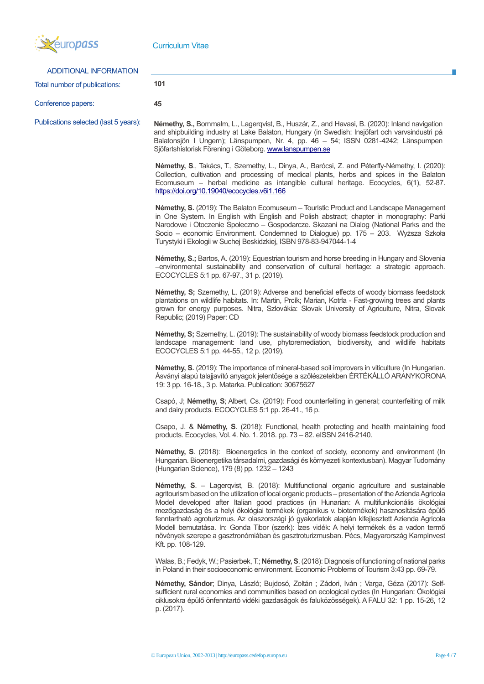

| ADDITIONAL INFORMATION                |                                                                                                                                                                                                                                                                                                                                                                                                                                                                                                                                                                                                                                                                                                              |
|---------------------------------------|--------------------------------------------------------------------------------------------------------------------------------------------------------------------------------------------------------------------------------------------------------------------------------------------------------------------------------------------------------------------------------------------------------------------------------------------------------------------------------------------------------------------------------------------------------------------------------------------------------------------------------------------------------------------------------------------------------------|
| Total number of publications:         | 101                                                                                                                                                                                                                                                                                                                                                                                                                                                                                                                                                                                                                                                                                                          |
| Conference papers:                    | 45                                                                                                                                                                                                                                                                                                                                                                                                                                                                                                                                                                                                                                                                                                           |
| Publications selected (last 5 years): | <b>Némethy, S., Bornmalm, L., Lagerqvist, B., Huszár, Z., and Havasi, B. (2020): Inland navigation</b><br>and shipbuilding industry at Lake Balaton, Hungary (in Swedish: Insjöfart och varvsindustri på<br>Balatonsjön I Ungern); Länspumpen, Nr. 4, pp. 46 - 54; ISSN 0281-4242; Länspumpen<br>Sjöfartshistorisk Förening i Göteborg. www.lanspumpen.se                                                                                                                                                                                                                                                                                                                                                    |
|                                       | Némethy, S., Takács, T., Szemethy, L., Dinya, A., Barócsi, Z. and Péterffy-Némethy, I. (2020):<br>Collection, cultivation and processing of medical plants, herbs and spices in the Balaton<br>Ecomuseum – herbal medicine as intangible cultural heritage. Ecocycles, 6(1), 52-87.<br>https://doi.org/10.19040/ecocycles.v6i1.166                                                                                                                                                                                                                                                                                                                                                                           |
|                                       | Némethy, S. (2019): The Balaton Ecomuseum - Touristic Product and Landscape Management<br>in One System. In English with English and Polish abstract; chapter in monography: Parki<br>Narodowe i Otoczenie Społeczno – Gospodarcze. Skazani na Dialog (National Parks and the<br>Socio - economic Environment. Condemned to Dialogue) pp. 175 - 203. Wyższa Szkoła<br>Turystyki i Ekologii w Suchej Beskidzkiej, ISBN 978-83-947044-1-4                                                                                                                                                                                                                                                                      |
|                                       | Némethy, S.; Bartos, A. (2019): Equestrian tourism and horse breeding in Hungary and Slovenia<br>-environmental sustainability and conservation of cultural heritage: a strategic approach.<br>ECOCYCLES 5:1 pp. 67-97., 31 p. (2019).                                                                                                                                                                                                                                                                                                                                                                                                                                                                       |
|                                       | Némethy, S; Szemethy, L. (2019): Adverse and beneficial effects of woody biomass feedstock<br>plantations on wildlife habitats. In: Martin, Prcík; Marian, Kotrla - Fast-growing trees and plants<br>grown for energy purposes. Nitra, Szlovákia: Slovak University of Agriculture, Nitra, Slovak<br>Republic; (2019) Paper: CD                                                                                                                                                                                                                                                                                                                                                                              |
|                                       | Némethy, S; Szemethy, L. (2019): The sustainability of woody biomass feedstock production and<br>landscape management: land use, phytoremediation, biodiversity, and wildlife habitats<br>ECOCYCLES 5:1 pp. 44-55., 12 p. (2019).                                                                                                                                                                                                                                                                                                                                                                                                                                                                            |
|                                       | Némethy, S. (2019): The importance of mineral-based soil improvers in viticulture (In Hungarian.<br>Ásványi alapú talajjavító anyagok jelentősége a szőlészetekben ÉRTÉKÁLLÓ ARANYKORONA<br>19: 3 pp. 16-18., 3 p. Matarka. Publication: 30675627                                                                                                                                                                                                                                                                                                                                                                                                                                                            |
|                                       | Csapó, J; Némethy, S; Albert, Cs. (2019): Food counterfeiting in general; counterfeiting of milk<br>and dairy products. ECOCYCLES 5:1 pp. 26-41., 16 p.                                                                                                                                                                                                                                                                                                                                                                                                                                                                                                                                                      |
|                                       | Csapo, J. & Némethy, S. (2018): Functional, health protecting and health maintaining food<br>products. Ecocycles, Vol. 4. No. 1. 2018. pp. 73 - 82. eISSN 2416-2140.                                                                                                                                                                                                                                                                                                                                                                                                                                                                                                                                         |
|                                       | Némethy, S. (2018): Bioenergetics in the context of society, economy and environment (In<br>Hungarian. Bioenergetika társadalmi, gazdasági és környezeti kontextusban). Magyar Tudomány<br>(Hungarian Science), 179 (8) pp. 1232 - 1243                                                                                                                                                                                                                                                                                                                                                                                                                                                                      |
|                                       | Némethy, S. - Lagerqvist, B. (2018): Multifunctional organic agriculture and sustainable<br>agritourism based on the utilization of local organic products - presentation of the Azienda Agricola<br>Model developed after Italian good practices (in Hunarian: A multifunkcionális ökológiai<br>mezőgazdaság és a helyi ökológiai termékek (organikus v. biotermékek) hasznosítására épülő<br>fenntartható agroturizmus. Az olaszországi jó gyakorlatok alapján kifejlesztett Azienda Agricola<br>Modell bemutatása. In: Gonda Tibor (szerk): Ízes vidék: A helyi termékek és a vadon termő<br>növények szerepe a gasztronómiában és gasztroturizmusban. Pécs, Magyarország Kamplnvest<br>Kft. pp. 108-129. |
|                                       | Walas, B.; Fedyk, W.; Pasierbek, T.; Némethy, S. (2018): Diagnosis of functioning of national parks<br>in Poland in their socioeconomic environment. Economic Problems of Tourism 3:43 pp. 69-79.                                                                                                                                                                                                                                                                                                                                                                                                                                                                                                            |
|                                       | Némethy, Sándor; Dinya, László; Bujdosó, Zoltán ; Zádori, Iván ; Varga, Géza (2017): Self-<br>sufficient rural economies and communities based on ecological cycles (In Hungarian: Ökológiai<br>ciklusokra épülő önfenntartó vidéki gazdaságok és faluközösségek). A FALU 32: 1 pp. 15-26, 12<br>p. (2017).                                                                                                                                                                                                                                                                                                                                                                                                  |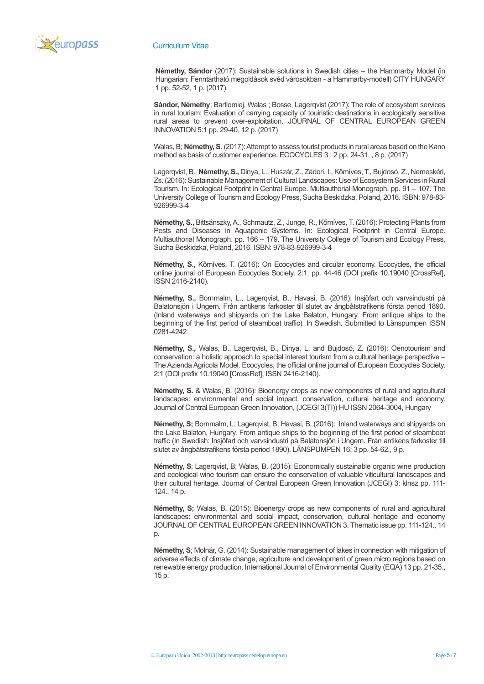

#### Curriculum Vitae

**Némethy, Sándor** (2017): Sustainable solutions in Swedish cities – the Hammarby Model (in Hungarian: Fenntartható megoldások svéd városokban - a Hammarby-modell) CITY HUNGARY 1 pp. 52-52, 1 p. (2017)

**Sándor, Némethy**; Bartlomiej, Walas ; Bosse, Lagerqvist (2017): The role of ecosystem services in rural tourism: Evaluation of carrying capacity of touiristic destinations in ecologically sensitive rural areas to prevent over-exploitation. JOURNAL OF CENTRAL EUROPEAN GREEN INNOVATION 5:1 pp. 29-40, 12 p. (2017)

Walas, B; **Némethy, S**. (2017): Attempt to assess tourist products in rural areas based on the Kano method as basis of customer experience. ECOCYCLES 3 : 2 pp. 24-31. , 8 p. (2017)

Lagerqvist, B., **Némethy, S.,** Dinya, L., Huszár, Z., Zádori, I., Kőmíves, T., Bujdosó, Z., Nemeskéri, Zs. (2016): Sustainable Management of Cultural Landscapes: Use of Ecosystem Services in Rural Tourism. In: Ecological Footprint in Central Europe. Multiauthorial Monograph. pp. 91 – 107. The University College of Tourism and Ecology Press, Sucha Beskidzka, Poland, 2016. ISBN: 978-83- 926999-3-4

**Némethy, S.,** Bittsánszky, A., Schmautz, Z., Junge, R., Kőmíves, T. (2016): Protecting Plants from Pests and Diseases in Aquaponic Systems. In: Ecological Footprint in Central Europe. Multiauthorial Monograph. pp. 166 – 179. The University College of Tourism and Ecology Press, Sucha Beskidzka, Poland, 2016. ISBN: 978-83-926999-3-4

**Némethy, S.,** Kőmíves, T. (2016): On Ecocycles and circular economy. Ecocycles, the official online journal of European Ecocycles Society. 2:1, pp. 44-46 (DOI prefix 10.19040 [CrossRef], ISSN 2416-2140).

**Némethy, S.,** Bornmalm, L., Lagerqvist, B., Havasi, B. (2016): Insjöfart och varvsindustri på Balatonsjön i Ungern. Från antikens farkoster till slutet av ångbåtstrafikens första period 1890. (Inland waterways and shipyards on the Lake Balaton, Hungary. From antique ships to the beginning of the first period of steamboat traffic). In Swedish. Submitted to Länspumpen ISSN 0281-4242

**Némethy, S.,** Walas, B., Lagerqvist, B., Dinya, L. and Bujdosó, Z. (2016): Oenotourism and conservation: a holistic approach to special interest tourism from a cultural heritage perspective – The Azienda Agricola Model. Ecocycles, the official online journal of European Ecocycles Society. 2:1 (DOI prefix 10.19040 [CrossRef], ISSN 2416-2140).

**Némethy, S.** & Wałas, B. (2016): Bioenergy crops as new components of rural and agricultural landscapes: environmental and social impact, conservation, cultural heritage and economy. Journal of Central European Green Innovation, (JCEGI 3(TI)) HU ISSN 2064-3004, Hungary

**Némethy, S;** Bornmalm, L; Lagerqvist, B; Havasi, B. (2016): Inland waterways and shipyards on the Lake Balaton, Hungary. From antique ships to the beginning of the first period of steamboat traffic (In Swedish: Insjöfart och varvsindustri på Balatonsjön i Ungern. Från antikens farkoster till slutet av ångbåtstrafikens första period 1890). LÄNSPUMPEN 16: 3 pp. 54-62., 9 p.

**Némethy, S**; Lagerqvist, B; Walas, B. (2015): Economically sustainable organic wine production and ecological wine tourism can ensure the conservation of valuable viticultural landscapes and their cultural heritage. Journal of Central European Green Innovation (JCEGI) 3: klnsz pp. 111- 124., 14 p.

**Némethy, S;** Walas, B. (2015): Bioenergy crops as new components of rural and agricultural landscapes: environmental and social impact, conservation, cultural heritage and economy JOURNAL OF CENTRAL EUROPEAN GREEN INNOVATION 3: Thematic issue pp. 111-124., 14 p.

**Némethy, S**; Molnár, G. (2014): Sustainable management of lakes in connection with mitigation of adverse effects of climate change, agriculture and development of green micro regions based on renewable energy production. International Journal of Environmental Quality (EQA) 13 pp. 21-35., 15 p.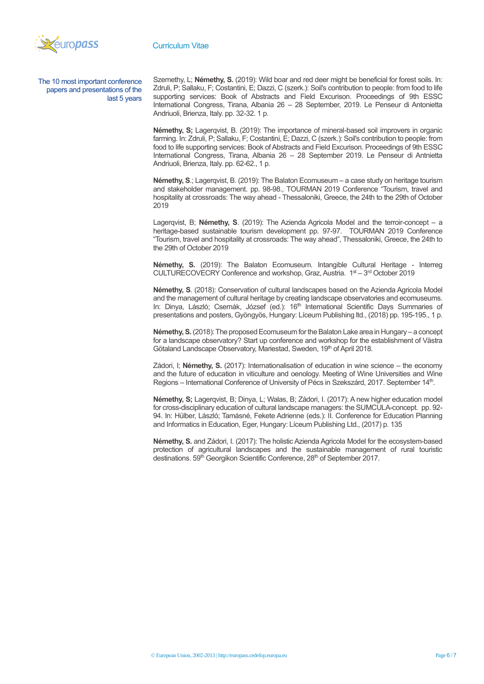

The 10 most important conference papers and presentations of the last 5 years Szemethy, L; **Némethy, S.** (2019): Wild boar and red deer might be beneficial for forest soils. In: Zdruli, P; Sallaku, F; Costantini, E; Dazzi, C (szerk.): Soil's contribution to people: from food to life supporting services: Book of Abstracts and Field Excurison. Proceedings of 9th ESSC International Congress, Tirana, Albania 26 – 28 September, 2019. Le Penseur di Antonietta Andriuoli, Brienza, Italy. pp. 32-32. 1 p.

**Némethy, S;** Lagergyist, B. (2019): The importance of mineral-based soil improvers in organic farming. In: Zdruli, P; Sallaku, F; Costantini, E; Dazzi, C (szerk.): Soil's contribution to people: from food to life supporting services: Book of Abstracts and Field Excurison. Proceedings of 9th ESSC International Congress, Tirana, Albania 26 – 28 September 2019. Le Penseur di Antnietta Andriuoli, Brienza, Italy. pp. 62-62., 1 p.

**Némethy, S**.; Lagerqvist, B. (2019): The Balaton Ecomuseum – a case study on heritage tourism and stakeholder management. pp. 98-98., TOURMAN 2019 Conference "Tourism, travel and hospitality at crossroads: The way ahead - Thessaloniki, Greece, the 24th to the 29th of October 2019

Lagerqvist, B; **Némethy, S**. (2019): The Azienda Agricola Model and the terroir-concept – a heritage-based sustainable tourism development pp. 97-97. TOURMAN 2019 Conference "Tourism, travel and hospitality at crossroads: The way ahead", Thessaloniki, Greece, the 24th to the 29th of October 2019

**Némethy, S.** (2019): The Balaton Ecomuseum. Intangible Cultural Heritage - Interreg CULTURECOVECRY Conference and workshop, Graz, Austria. 1<sup>st</sup> – 3<sup>rd</sup> October 2019

**Némethy, S**. (2018): Conservation of cultural landscapes based on the Azienda Agricola Model and the management of cultural heritage by creating landscape observatories and ecomuseums. In: Dinya, László; Csernák, József (ed.): 16<sup>th</sup> International Scientific Days Summaries of presentations and posters, Gyöngyös, Hungary: Líceum Publishing ltd., (2018) pp. 195-195., 1 p.

**Némethy, S.**(2018): The proposed Ecomuseum for the Balaton Lake area in Hungary – a concept for a landscape observatory? Start up conference and workshop for the establishment of Västra Götaland Landscape Observatory, Mariestad, Sweden, 19th of April 2018.

Zádori, I; **Némethy, S.** (2017): Internationalisation of education in wine science – the economy and the future of education in viticulture and oenology. Meeting of Wine Universities and Wine Regions – International Conference of University of Pécs in Szekszárd, 2017. September 14<sup>th</sup>.

**Némethy, S;** Lagerqvist, B; Dinya, L; Walas, B; Zádori, I. (2017): A new higher education model for cross-disciplinary education of cultural landscape managers: the SUMCULA-concept. pp. 92- 94. In: Hülber, László; Tamásné, Fekete Adrienne (eds.): II. Conference for Education Planning and Informatics in Education, Eger, Hungary: Líceum Publishing Ltd., (2017) p. 135

**Némethy, S.** and Zádori, I. (2017): The holistic Azienda Agricola Model for the ecosystem-based protection of agricultural landscapes and the sustainable management of rural touristic destinations. 59<sup>th</sup> Georgikon Scientific Conference, 28<sup>th</sup> of September 2017.